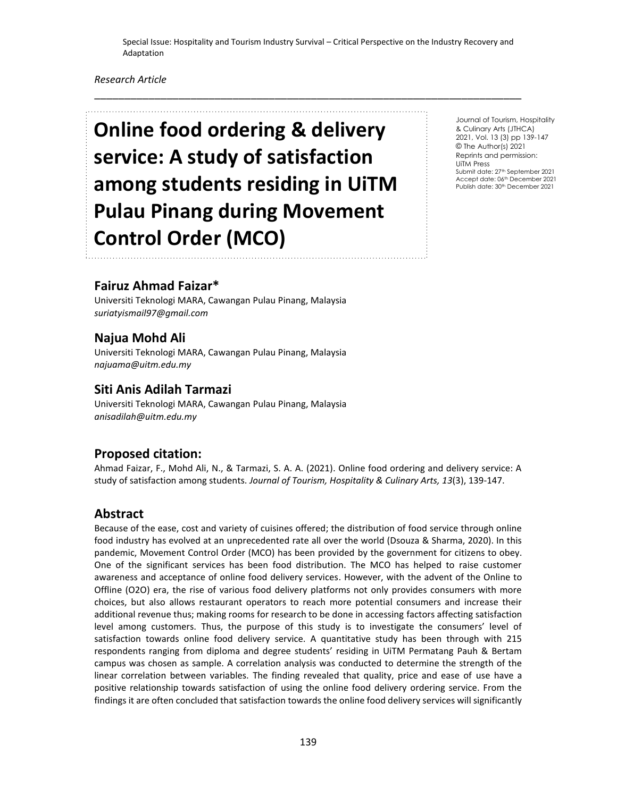\_\_\_\_\_\_\_\_\_\_\_\_\_\_\_\_\_\_\_\_\_\_\_\_\_\_\_\_\_\_\_\_\_\_\_\_\_\_\_\_\_\_\_\_\_\_\_\_\_\_\_\_\_\_\_\_\_\_\_\_\_\_\_\_\_\_\_\_\_\_\_

#### *Research Article*

# **Online food ordering & delivery service: A study of satisfaction among students residing in UiTM Pulau Pinang during Movement Control Order (MCO)**

Journal of Tourism, Hospitality & Culinary Arts (JTHCA) 2021, Vol. 13 (3) pp 139-147 © The Author(s) 2021 Reprints and permission: UiTM Press Submit date: 27th September 2021 Accept date: 06<sup>th</sup> December 2021 Publish date: 30<sup>th</sup> December 2021

## **Fairuz Ahmad Faizar\***

Universiti Teknologi MARA, Cawangan Pulau Pinang, Malaysia *suriatyismail97@gmail.com*

## **Najua Mohd Ali**

Universiti Teknologi MARA, Cawangan Pulau Pinang, Malaysia *najuama@uitm.edu.my*

#### **Siti Anis Adilah Tarmazi**

Universiti Teknologi MARA, Cawangan Pulau Pinang, Malaysia *anisadilah@uitm.edu.my*

## **Proposed citation:**

Ahmad Faizar, F., Mohd Ali, N., & Tarmazi, S. A. A. (2021). Online food ordering and delivery service: A study of satisfaction among students. *Journal of Tourism, Hospitality & Culinary Arts, 13*(3), 139-147.

#### **Abstract**

Because of the ease, cost and variety of cuisines offered; the distribution of food service through online food industry has evolved at an unprecedented rate all over the world (Dsouza & Sharma, 2020). In this pandemic, Movement Control Order (MCO) has been provided by the government for citizens to obey. One of the significant services has been food distribution. The MCO has helped to raise customer awareness and acceptance of online food delivery services. However, with the advent of the Online to Offline (O2O) era, the rise of various food delivery platforms not only provides consumers with more choices, but also allows restaurant operators to reach more potential consumers and increase their additional revenue thus; making rooms for research to be done in accessing factors affecting satisfaction level among customers. Thus, the purpose of this study is to investigate the consumers' level of satisfaction towards online food delivery service. A quantitative study has been through with 215 respondents ranging from diploma and degree students' residing in UiTM Permatang Pauh & Bertam campus was chosen as sample. A correlation analysis was conducted to determine the strength of the linear correlation between variables. The finding revealed that quality, price and ease of use have a positive relationship towards satisfaction of using the online food delivery ordering service. From the findings it are often concluded that satisfaction towards the online food delivery services will significantly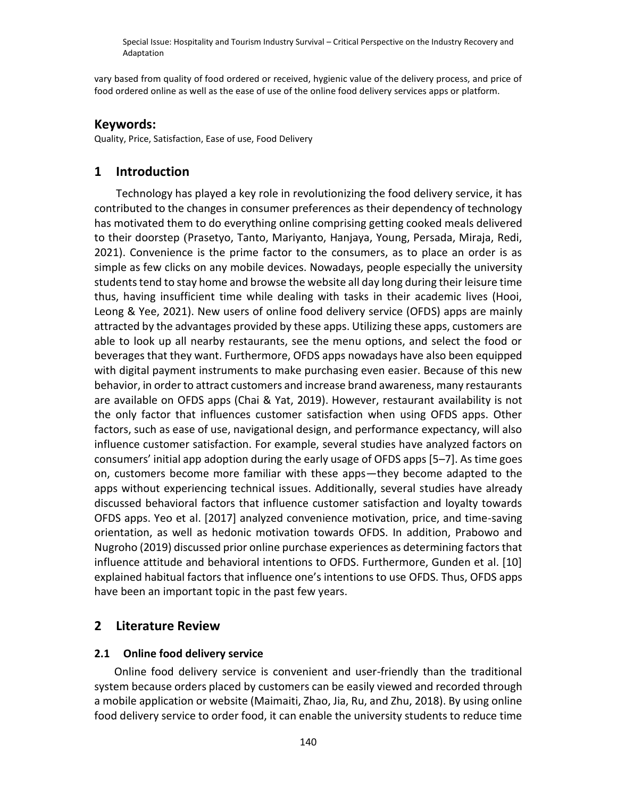vary based from quality of food ordered or received, hygienic value of the delivery process, and price of food ordered online as well as the ease of use of the online food delivery services apps or platform.

## **Keywords:**

Quality, Price, Satisfaction, Ease of use, Food Delivery

## **1 Introduction**

Technology has played a key role in revolutionizing the food delivery service, it has contributed to the changes in consumer preferences as their dependency of technology has motivated them to do everything online comprising getting cooked meals delivered to their doorstep (Prasetyo, Tanto, Mariyanto, Hanjaya, Young, Persada, Miraja, Redi, 2021). Convenience is the prime factor to the consumers, as to place an order is as simple as few clicks on any mobile devices. Nowadays, people especially the university students tend to stay home and browse the website all day long during their leisure time thus, having insufficient time while dealing with tasks in their academic lives (Hooi, Leong & Yee, 2021). New users of online food delivery service (OFDS) apps are mainly attracted by the advantages provided by these apps. Utilizing these apps, customers are able to look up all nearby restaurants, see the menu options, and select the food or beverages that they want. Furthermore, OFDS apps nowadays have also been equipped with digital payment instruments to make purchasing even easier. Because of this new behavior, in order to attract customers and increase brand awareness, many restaurants are available on OFDS apps (Chai & Yat, 2019). However, restaurant availability is not the only factor that influences customer satisfaction when using OFDS apps. Other factors, such as ease of use, navigational design, and performance expectancy, will also influence customer satisfaction. For example, several studies have analyzed factors on consumers' initial app adoption during the early usage of OFDS apps [5–7]. As time goes on, customers become more familiar with these apps—they become adapted to the apps without experiencing technical issues. Additionally, several studies have already discussed behavioral factors that influence customer satisfaction and loyalty towards OFDS apps. Yeo et al. [2017] analyzed convenience motivation, price, and time-saving orientation, as well as hedonic motivation towards OFDS. In addition, Prabowo and Nugroho (2019) discussed prior online purchase experiences as determining factors that influence attitude and behavioral intentions to OFDS. Furthermore, Gunden et al. [10] explained habitual factors that influence one's intentions to use OFDS. Thus, OFDS apps have been an important topic in the past few years.

## **2 Literature Review**

#### **2.1 Online food delivery service**

Online food delivery service is convenient and user-friendly than the traditional system because orders placed by customers can be easily viewed and recorded through a mobile application or website (Maimaiti, Zhao, Jia, Ru, and Zhu, 2018). By using online food delivery service to order food, it can enable the university students to reduce time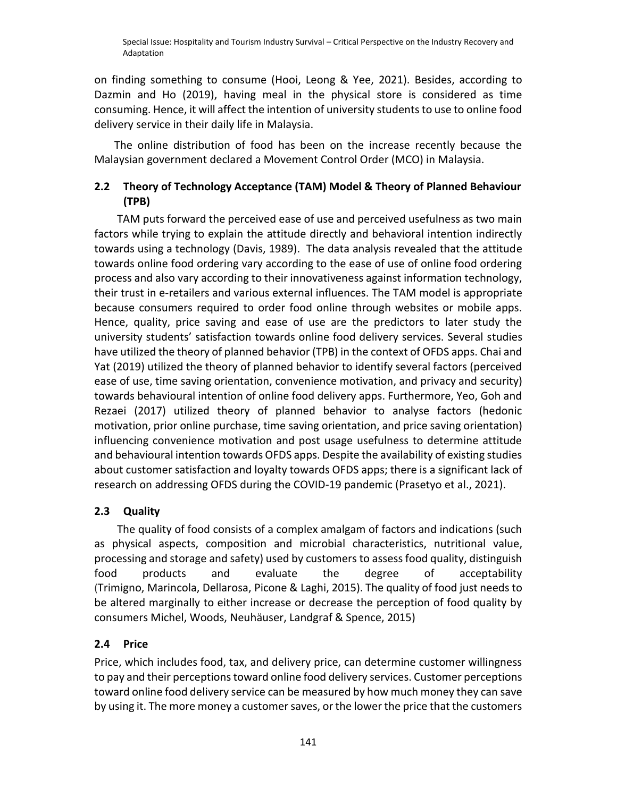on finding something to consume (Hooi, Leong & Yee, 2021). Besides, according to Dazmin and Ho (2019), having meal in the physical store is considered as time consuming. Hence, it will affect the intention of university students to use to online food delivery service in their daily life in Malaysia.

The online distribution of food has been on the increase recently because the Malaysian government declared a Movement Control Order (MCO) in Malaysia.

# **2.2 Theory of Technology Acceptance (TAM) Model & Theory of Planned Behaviour (TPB)**

TAM puts forward the perceived ease of use and perceived usefulness as two main factors while trying to explain the attitude directly and behavioral intention indirectly towards using a technology (Davis, 1989). The data analysis revealed that the attitude towards online food ordering vary according to the ease of use of online food ordering process and also vary according to their innovativeness against information technology, their trust in e-retailers and various external influences. The TAM model is appropriate because consumers required to order food online through websites or mobile apps. Hence, quality, price saving and ease of use are the predictors to later study the university students' satisfaction towards online food delivery services. Several studies have utilized the theory of planned behavior (TPB) in the context of OFDS apps. Chai and Yat (2019) utilized the theory of planned behavior to identify several factors (perceived ease of use, time saving orientation, convenience motivation, and privacy and security) towards behavioural intention of online food delivery apps. Furthermore, Yeo, Goh and Rezaei (2017) utilized theory of planned behavior to analyse factors (hedonic motivation, prior online purchase, time saving orientation, and price saving orientation) influencing convenience motivation and post usage usefulness to determine attitude and behavioural intention towards OFDS apps. Despite the availability of existing studies about customer satisfaction and loyalty towards OFDS apps; there is a significant lack of research on addressing OFDS during the COVID-19 pandemic (Prasetyo et al., 2021).

# **2.3 Quality**

The quality of food consists of a complex amalgam of factors and indications (such as physical aspects, composition and microbial characteristics, nutritional value, processing and storage and safety) used by customers to assess food quality, distinguish food products and evaluate the degree of acceptability (Trimigno, Marincola, Dellarosa, Picone & Laghi, 2015). The quality of food just needs to be altered marginally to either increase or decrease the perception of food quality by consumers Michel, Woods, Neuhäuser, Landgraf & Spence, 2015)

# **2.4 Price**

Price, which includes food, tax, and delivery price, can determine customer willingness to pay and their perceptions toward online food delivery services. Customer perceptions toward online food delivery service can be measured by how much money they can save by using it. The more money a customer saves, or the lower the price that the customers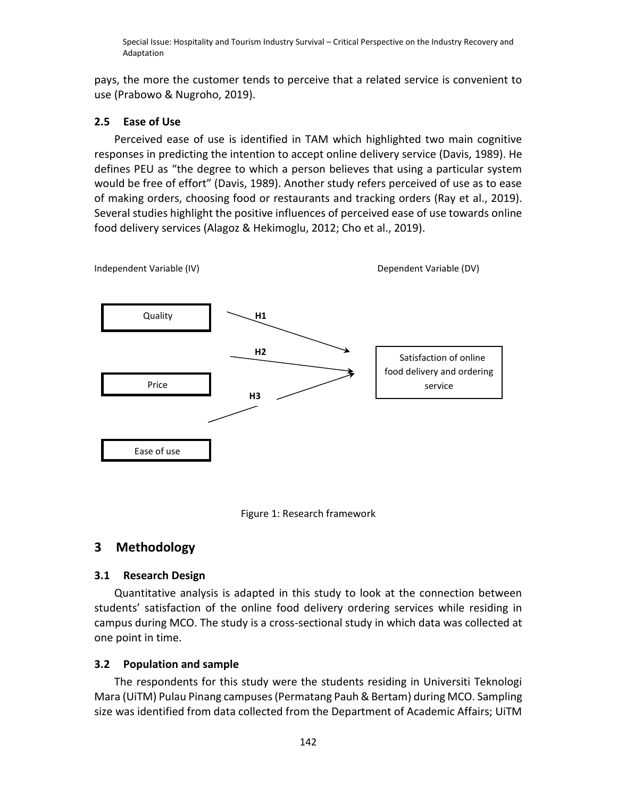pays, the more the customer tends to perceive that a related service is convenient to use (Prabowo & Nugroho, 2019).

## **2.5 Ease of Use**

Perceived ease of use is identified in TAM which highlighted two main cognitive responses in predicting the intention to accept online delivery service (Davis, 1989). He defines PEU as "the degree to which a person believes that using a particular system would be free of effort" (Davis, 1989). Another study refers perceived of use as to ease of making orders, choosing food or restaurants and tracking orders (Ray et al., 2019). Several studies highlight the positive influences of perceived ease of use towards online food delivery services (Alagoz & Hekimoglu, 2012; Cho et al., 2019).





# **3 Methodology**

## **3.1 Research Design**

Quantitative analysis is adapted in this study to look at the connection between students' satisfaction of the online food delivery ordering services while residing in campus during MCO. The study is a cross-sectional study in which data was collected at one point in time.

## **3.2 Population and sample**

The respondents for this study were the students residing in Universiti Teknologi Mara (UiTM) Pulau Pinang campuses (Permatang Pauh & Bertam) during MCO. Sampling size was identified from data collected from the Department of Academic Affairs; UiTM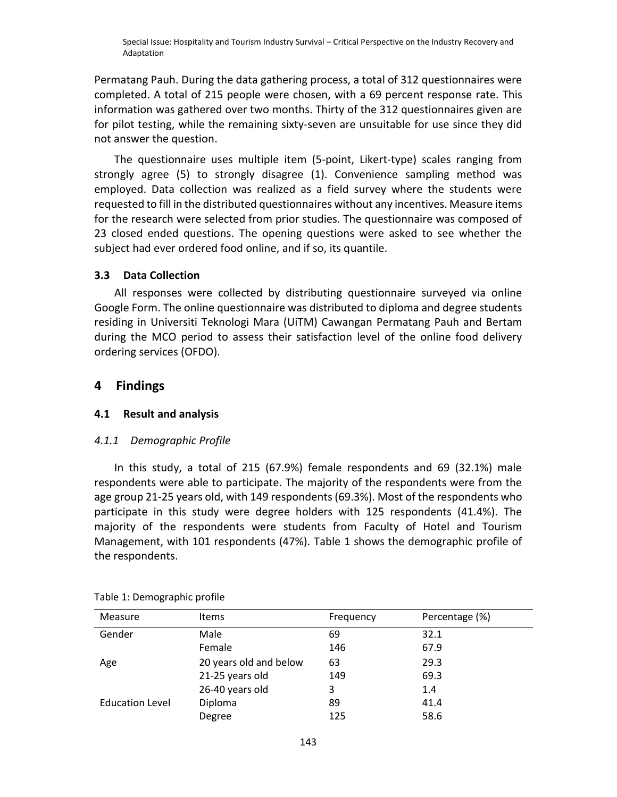Permatang Pauh. During the data gathering process, a total of 312 questionnaires were completed. A total of 215 people were chosen, with a 69 percent response rate. This information was gathered over two months. Thirty of the 312 questionnaires given are for pilot testing, while the remaining sixty-seven are unsuitable for use since they did not answer the question.

The questionnaire uses multiple item (5-point, Likert-type) scales ranging from strongly agree (5) to strongly disagree (1). Convenience sampling method was employed. Data collection was realized as a field survey where the students were requested to fill in the distributed questionnaires without any incentives. Measure items for the research were selected from prior studies. The questionnaire was composed of 23 closed ended questions. The opening questions were asked to see whether the subject had ever ordered food online, and if so, its quantile.

## **3.3 Data Collection**

All responses were collected by distributing questionnaire surveyed via online Google Form. The online questionnaire was distributed to diploma and degree students residing in Universiti Teknologi Mara (UiTM) Cawangan Permatang Pauh and Bertam during the MCO period to assess their satisfaction level of the online food delivery ordering services (OFDO).

# **4 Findings**

## **4.1 Result and analysis**

## *4.1.1 Demographic Profile*

In this study, a total of 215 (67.9%) female respondents and 69 (32.1%) male respondents were able to participate. The majority of the respondents were from the age group 21-25 years old, with 149 respondents (69.3%). Most of the respondents who participate in this study were degree holders with 125 respondents (41.4%). The majority of the respondents were students from Faculty of Hotel and Tourism Management, with 101 respondents (47%). Table 1 shows the demographic profile of the respondents.

| Measure                | <b>Items</b>           | Frequency | Percentage (%) |
|------------------------|------------------------|-----------|----------------|
| Gender                 | Male                   | 69        | 32.1           |
|                        | Female                 | 146       | 67.9           |
| Age                    | 20 years old and below | 63        | 29.3           |
|                        | 21-25 years old        | 149       | 69.3           |
|                        | 26-40 years old        | 3         | 1.4            |
| <b>Education Level</b> | Diploma                | 89        | 41.4           |
|                        | Degree                 | 125       | 58.6           |

Table 1: Demographic profile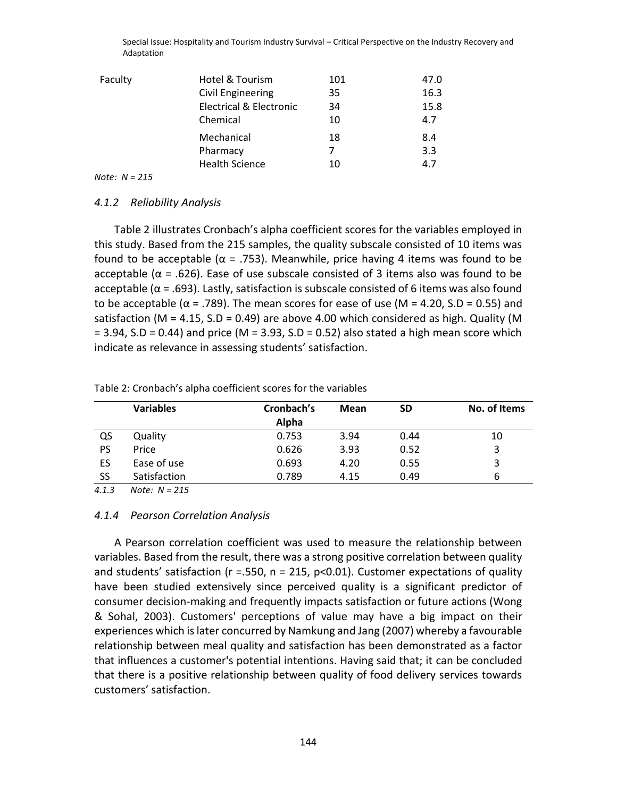| Faculty | Hotel & Tourism                    | 101 | 47.0 |
|---------|------------------------------------|-----|------|
|         | <b>Civil Engineering</b>           | 35  | 16.3 |
|         | <b>Electrical &amp; Electronic</b> | 34  | 15.8 |
|         | Chemical                           | 10  | 4.7  |
|         | Mechanical                         | 18  | 8.4  |
|         | Pharmacy                           | 7   | 3.3  |
|         | <b>Health Science</b>              | 10  | 4.7  |

*Note: N = 215*

#### *4.1.2 Reliability Analysis*

Table 2 illustrates Cronbach's alpha coefficient scores for the variables employed in this study. Based from the 215 samples, the quality subscale consisted of 10 items was found to be acceptable ( $\alpha$  = .753). Meanwhile, price having 4 items was found to be acceptable ( $\alpha$  = .626). Ease of use subscale consisted of 3 items also was found to be acceptable ( $\alpha$  = .693). Lastly, satisfaction is subscale consisted of 6 items was also found to be acceptable ( $\alpha$  = .789). The mean scores for ease of use (M = 4.20, S.D = 0.55) and satisfaction (M = 4.15, S.D = 0.49) are above 4.00 which considered as high. Quality (M  $= 3.94$ , S.D = 0.44) and price (M = 3.93, S.D = 0.52) also stated a high mean score which indicate as relevance in assessing students' satisfaction.

#### Table 2: Cronbach's alpha coefficient scores for the variables

|    | <b>Variables</b> | Cronbach's | Mean | SD   | No. of Items |
|----|------------------|------------|------|------|--------------|
|    |                  | Alpha      |      |      |              |
| QS | Quality          | 0.753      | 3.94 | 0.44 | 10           |
| PS | Price            | 0.626      | 3.93 | 0.52 | 3            |
| ES | Ease of use      | 0.693      | 4.20 | 0.55 | 3            |
| SS | Satisfaction     | 0.789      | 4.15 | 0.49 | 6            |

*4.1.3 Note: N = 215*

#### *4.1.4 Pearson Correlation Analysis*

A Pearson correlation coefficient was used to measure the relationship between variables. Based from the result, there was a strong positive correlation between quality and students' satisfaction ( $r = 0.550$ ,  $n = 215$ ,  $p < 0.01$ ). Customer expectations of quality have been studied extensively since perceived quality is a significant predictor of consumer decision-making and frequently impacts satisfaction or future actions (Wong & Sohal, 2003). Customers' perceptions of value may have a big impact on their experiences which is later concurred by Namkung and Jang (2007) whereby a favourable relationship between meal quality and satisfaction has been demonstrated as a factor that influences a customer's potential intentions. Having said that; it can be concluded that there is a positive relationship between quality of food delivery services towards customers' satisfaction.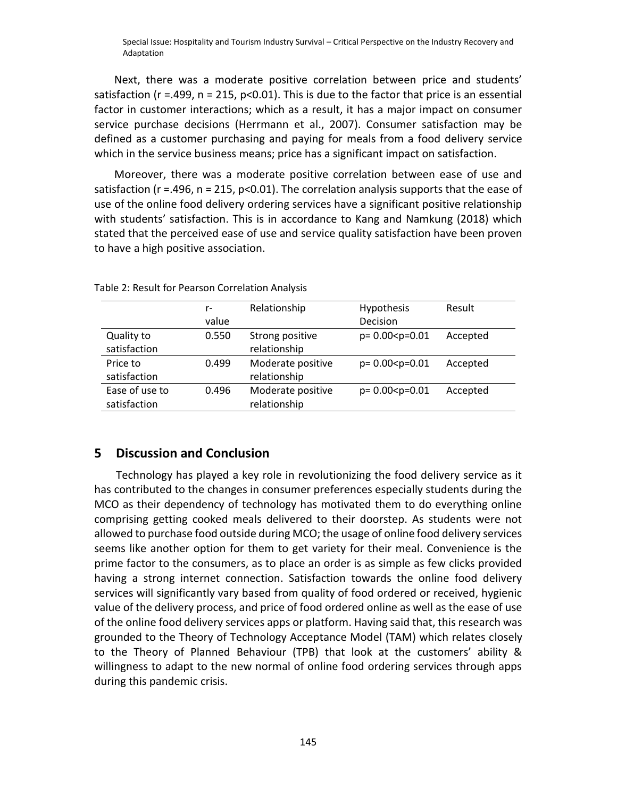Next, there was a moderate positive correlation between price and students' satisfaction ( $r = .499$ ,  $n = 215$ ,  $p < 0.01$ ). This is due to the factor that price is an essential factor in customer interactions; which as a result, it has a major impact on consumer service purchase decisions (Herrmann et al., 2007). Consumer satisfaction may be defined as a customer purchasing and paying for meals from a food delivery service which in the service business means; price has a significant impact on satisfaction.

Moreover, there was a moderate positive correlation between ease of use and satisfaction ( $r = .496$ ,  $n = 215$ ,  $p < 0.01$ ). The correlation analysis supports that the ease of use of the online food delivery ordering services have a significant positive relationship with students' satisfaction. This is in accordance to Kang and Namkung (2018) which stated that the perceived ease of use and service quality satisfaction have been proven to have a high positive association.

|                | r-    | Relationship      | Hypothesis            | Result   |
|----------------|-------|-------------------|-----------------------|----------|
|                | value |                   | Decision              |          |
| Quality to     | 0.550 | Strong positive   | $p = 0.00 < p = 0.01$ | Accepted |
| satisfaction   |       | relationship      |                       |          |
| Price to       | 0.499 | Moderate positive | $p = 0.00 < p = 0.01$ | Accepted |
| satisfaction   |       | relationship      |                       |          |
| Ease of use to | 0.496 | Moderate positive | $p = 0.00 < p = 0.01$ | Accepted |
| satisfaction   |       | relationship      |                       |          |
|                |       |                   |                       |          |

Table 2: Result for Pearson Correlation Analysis

## **5 Discussion and Conclusion**

Technology has played a key role in revolutionizing the food delivery service as it has contributed to the changes in consumer preferences especially students during the MCO as their dependency of technology has motivated them to do everything online comprising getting cooked meals delivered to their doorstep. As students were not allowed to purchase food outside during MCO; the usage of online food delivery services seems like another option for them to get variety for their meal. Convenience is the prime factor to the consumers, as to place an order is as simple as few clicks provided having a strong internet connection. Satisfaction towards the online food delivery services will significantly vary based from quality of food ordered or received, hygienic value of the delivery process, and price of food ordered online as well as the ease of use of the online food delivery services apps or platform. Having said that, this research was grounded to the Theory of Technology Acceptance Model (TAM) which relates closely to the Theory of Planned Behaviour (TPB) that look at the customers' ability & willingness to adapt to the new normal of online food ordering services through apps during this pandemic crisis.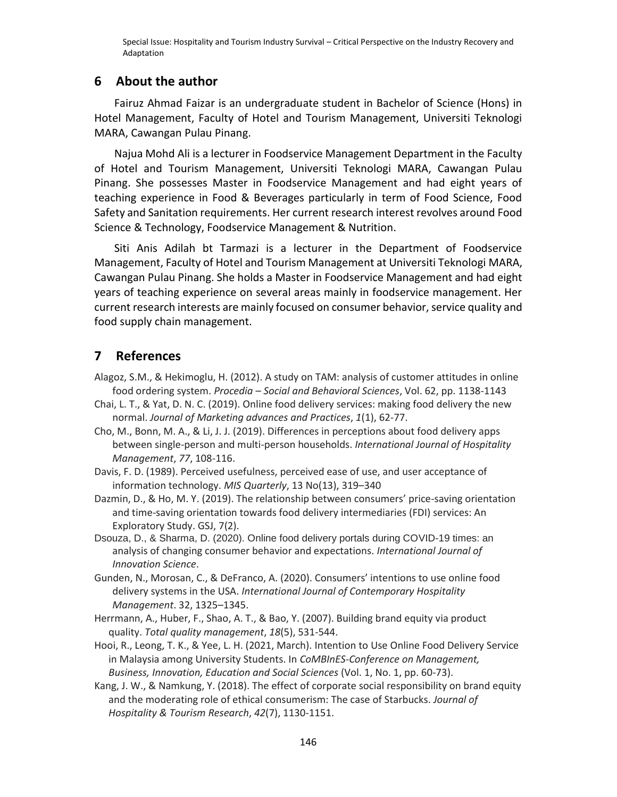## **6 About the author**

Fairuz Ahmad Faizar is an undergraduate student in Bachelor of Science (Hons) in Hotel Management, Faculty of Hotel and Tourism Management, Universiti Teknologi MARA, Cawangan Pulau Pinang.

Najua Mohd Ali is a lecturer in Foodservice Management Department in the Faculty of Hotel and Tourism Management, Universiti Teknologi MARA, Cawangan Pulau Pinang. She possesses Master in Foodservice Management and had eight years of teaching experience in Food & Beverages particularly in term of Food Science, Food Safety and Sanitation requirements. Her current research interest revolves around Food Science & Technology, Foodservice Management & Nutrition.

Siti Anis Adilah bt Tarmazi is a lecturer in the Department of Foodservice Management, Faculty of Hotel and Tourism Management at Universiti Teknologi MARA, Cawangan Pulau Pinang. She holds a Master in Foodservice Management and had eight years of teaching experience on several areas mainly in foodservice management. Her current research interests are mainly focused on consumer behavior, service quality and food supply chain management.

## **7 References**

- Alagoz, S.M., & Hekimoglu, H. (2012). A study on TAM: analysis of customer attitudes in online food ordering system. *Procedia – Social and Behavioral Sciences*, Vol. 62, pp. 1138-1143
- Chai, L. T., & Yat, D. N. C. (2019). Online food delivery services: making food delivery the new normal. *Journal of Marketing advances and Practices*, *1*(1), 62-77.
- Cho, M., Bonn, M. A., & Li, J. J. (2019). Differences in perceptions about food delivery apps between single-person and multi-person households. *International Journal of Hospitality Management*, *77*, 108-116.
- Davis, F. D. (1989). Perceived usefulness, perceived ease of use, and user acceptance of information technology. *MIS Quarterly*, 13 No(13), 319–340
- Dazmin, D., & Ho, M. Y. (2019). The relationship between consumers' price-saving orientation and time-saving orientation towards food delivery intermediaries (FDI) services: An Exploratory Study. GSJ, 7(2).
- Dsouza, D., & Sharma, D. (2020). Online food delivery portals during COVID-19 times: an analysis of changing consumer behavior and expectations. *International Journal of Innovation Science*.
- Gunden, N., Morosan, C., & DeFranco, A. (2020). Consumers' intentions to use online food delivery systems in the USA. *International Journal of Contemporary Hospitality Management*. 32, 1325–1345.
- Herrmann, A., Huber, F., Shao, A. T., & Bao, Y. (2007). Building brand equity via product quality. *Total quality management*, *18*(5), 531-544.
- Hooi, R., Leong, T. K., & Yee, L. H. (2021, March). Intention to Use Online Food Delivery Service in Malaysia among University Students. In *CoMBInES-Conference on Management, Business, Innovation, Education and Social Sciences* (Vol. 1, No. 1, pp. 60-73).
- Kang, J. W., & Namkung, Y. (2018). The effect of corporate social responsibility on brand equity and the moderating role of ethical consumerism: The case of Starbucks. *Journal of Hospitality & Tourism Research*, *42*(7), 1130-1151.